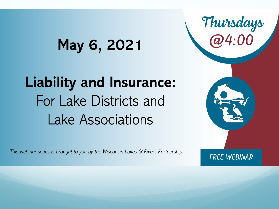### May 6, 2021

### **Liability and Insurance:** For Lake Districts and **Lake Associations**

This webinar series is brought to you by the Wisconsin Lakes & Rivers Partnership.

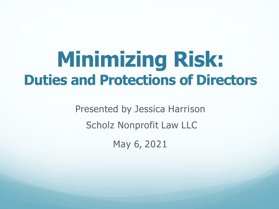## **Minimizing Risk: Duties and Protections of Directors**

Presented by Jessica Harrison Scholz Nonprofit Law LLC May 6, 2021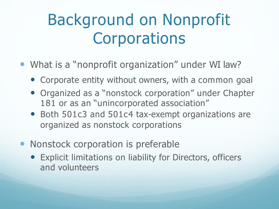### Background on Nonprofit **Corporations**

- What is a "nonprofit organization" under WI law?
	- Corporate entity without owners, with a common goal
	- Organized as a "nonstock corporation" under Chapter 181 or as an "unincorporated association"
	- Both 501c3 and 501c4 tax-exempt organizations are organized as nonstock corporations
- Nonstock corporation is preferable
	- Explicit limitations on liability for Directors, officers and volunteers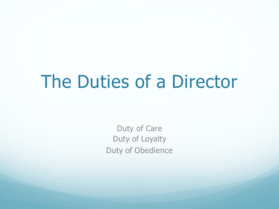### The Duties of a Director

Duty of Care Duty of Loyalty Duty of Obedience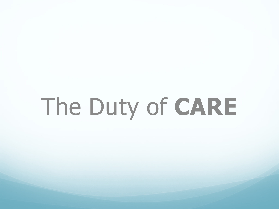# The Duty of **CARE**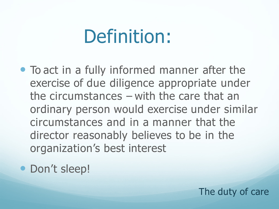### Definition:

- To act in a fully informed manner after the exercise of due diligence appropriate under the circumstances – with the care that an ordinary person would exercise under similar circumstances and in a manner that the director reasonably believes to be in the organization's best interest
- Don't sleep!

The duty of care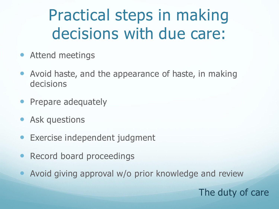### Practical steps in making decisions with due care:

- Attend meetings
- Avoid haste, and the appearance of haste, in making decisions
- Prepare adequately
- Ask questions
- Exercise independent judgment
- Record board proceedings
- Avoid giving approval w/o prior knowledge and review

The duty of care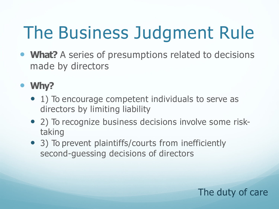# The Business Judgment Rule

 **What?** A series of presumptions related to decisions made by directors

### **Why?**

- 1) To encourage competent individuals to serve as directors by limiting liability
- 2) To recognize business decisions involve some risktaking
- 3) To prevent plaintiffs/courts from inefficiently second-guessing decisions of directors

### The duty of care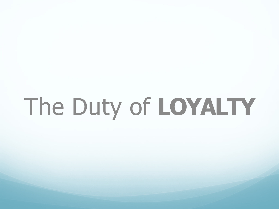# The Duty of **LOYALTY**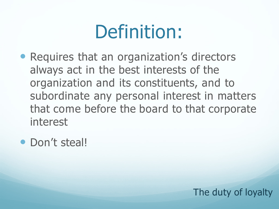# Definition:

- Requires that an organization's directors always act in the best interests of the organization and its constituents, and to subordinate any personal interest in matters that come before the board to that corporate interest
- Don't steal!

The duty of loyalty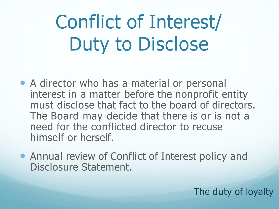Conflict of Interest/ Duty to Disclose

• A director who has a material or personal interest in a matter before the nonprofit entity must disclose that fact to the board of directors. The Board may decide that there is or is not a need for the conflicted director to recuse himself or herself.

• Annual review of Conflict of Interest policy and Disclosure Statement.

The duty of loyalty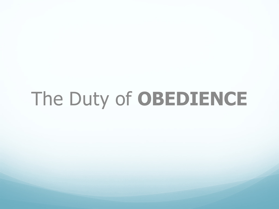# The Duty of **OBEDIENCE**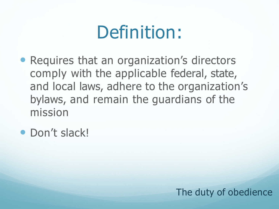### Definition:

- Requires that an organization's directors comply with the applicable federal, state, and local laws, adhere to the organization's bylaws, and remain the guardians of the mission
- Don't slack!

### The duty of obedience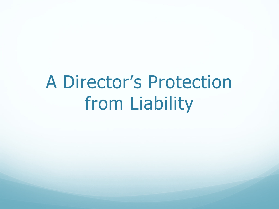## A Director's Protection from Liability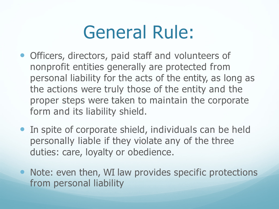### General Rule:

- Officers, directors, paid staff and volunteers of nonprofit entities generally are protected from personal liability for the acts of the entity, as long as the actions were truly those of the entity and the proper steps were taken to maintain the corporate form and its liability shield.
- In spite of corporate shield, individuals can be held personally liable if they violate any of the three duties: care, loyalty or obedience.
- Note: even then, WI law provides specific protections from personal liability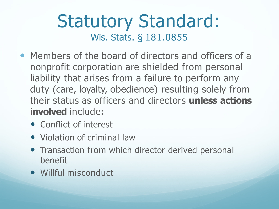### Statutory Standard: Wis. Stats. § 181.0855

- Members of the board of directors and officers of a nonprofit corporation are shielded from personal liability that arises from a failure to perform any duty (care, loyalty, obedience) resulting solely from their status as officers and directors **unless actions involved** include**:**
	- Conflict of interest
	- Violation of criminal law
	- **Transaction from which director derived personal** benefit
	- Willful misconduct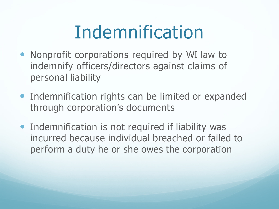## Indemnification

- Nonprofit corporations required by WI law to indemnify officers/directors against claims of personal liability
- **Indemnification rights can be limited or expanded** through corporation's documents
- **Indemnification is not required if liability was** incurred because individual breached or failed to perform a duty he or she owes the corporation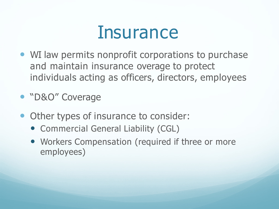### Insurance

- WI law permits nonprofit corporations to purchase and maintain insurance overage to protect individuals acting as officers, directors, employees
- "D&O" Coverage
- Other types of insurance to consider:
	- Commercial General Liability (CGL)
	- Workers Compensation (required if three or more employees)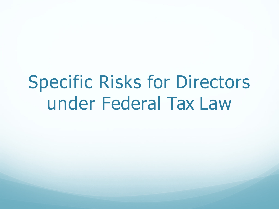### Specific Risks for Directors under Federal Tax Law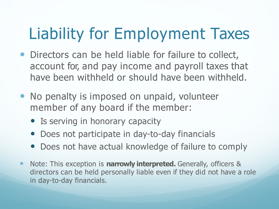### Liability for Employment Taxes

- Directors can be held liable for failure to collect, account for, and pay income and payroll taxes that have been withheld or should have been withheld.
- No penalty is imposed on unpaid, volunteer member of any board if the member:
	- Is serving in honorary capacity
	- Does not participate in day-to-day financials
	- Does not have actual knowledge of failure to comply
- Note: This exception is **narrowly interpreted.** Generally, officers & directors can be held personally liable even if they did not have a role in day-to-day financials.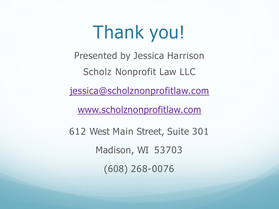## Thank you!

Presented by Jessica Harrison

Scholz Nonprofit Law LLC

[jessica@scholznonprofitlaw.com](mailto:jessica@scholznonprofitlaw.com)

[www.scholznonprofitlaw.com](http://www.scholznonprofitlaw.com/)

612 West Main Street, Suite 301 Madison, WI 53703 (608) 268-0076